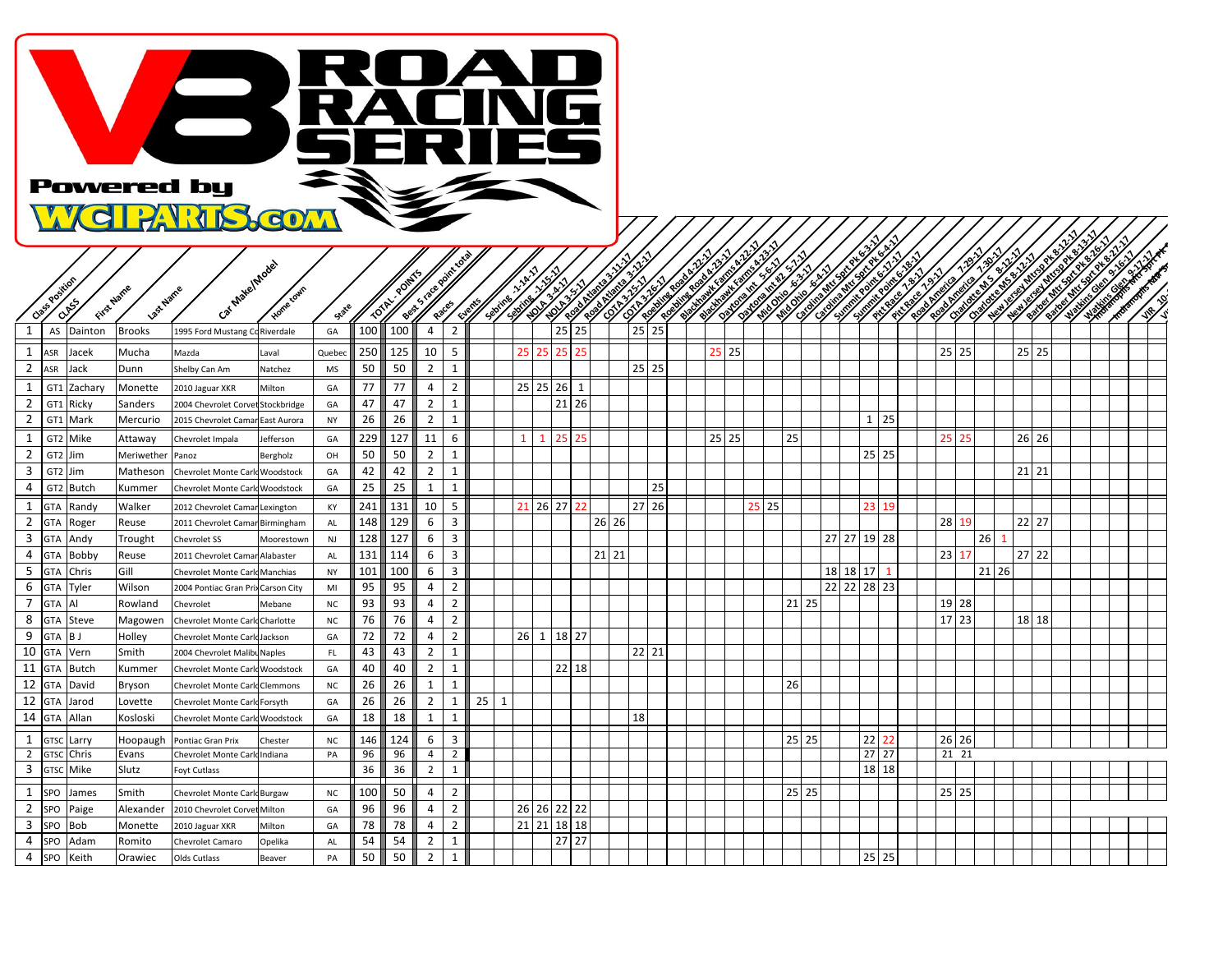

| Class Position        | CLASS           | First Name   | Last Name     | Car Make/Model                        | Home cown        | State     | <b>TOTAL</b> |          | Best 5-18 re point 1 |                   | <b>Supering</b> |              | Septime 1 / 2 Mill<br>$\mathbf{y}$<br><b>HOLESLAND</b> | <b>HOLES STATE</b> |         | <b>Contract of South Property of South Property</b><br><b>Contract of Science of Science of Science of Science of Science of Science of Science of Science of Science o</b> |                 | <b>CONTRACTOR</b> | <b>CONTRACTOR STATES</b><br><b>Contract Contract Street, Supporter, Supporter, Supporter, Supporter, Supporter, Supporter, Supporter, Support</b><br><b>Charles Report Follows</b> |       | <b>Charles Report Report</b> | en andere generaliste staten den beste generaliste staten staten staten staten staten staten staten staten st<br>Staten staten staten staten staten staten staten staten staten staten staten staten staten staten staten state<br><b>Million Riverside</b> | The Contract of Street |                 |    | <b>CONTRACTOR DESCRIPTION</b><br><b>Contract of Science Report</b> | <b>Contract Contract Street</b><br><b>CITY ROOMS AND THE RESIDENCE</b> | City Rates<br><b>ROBATORIAL AND REGISTER</b> | <b>Candidate Ms.</b><br><b>Repairing Links</b> |    | <b>CONTRACTOR DESCRIPTION</b><br><b>Contraction Street, Superintendence</b> |           | <b>CONTRACTOR SECTION</b> | All Contract of Contract of Contract of<br>And Contract of Contract of Contract of<br>ANTERNATIONAL PROPERTY<br><b>CONTRACTOR</b> |  |
|-----------------------|-----------------|--------------|---------------|---------------------------------------|------------------|-----------|--------------|----------|----------------------|-------------------|-----------------|--------------|--------------------------------------------------------|--------------------|---------|-----------------------------------------------------------------------------------------------------------------------------------------------------------------------------|-----------------|-------------------|------------------------------------------------------------------------------------------------------------------------------------------------------------------------------------|-------|------------------------------|-------------------------------------------------------------------------------------------------------------------------------------------------------------------------------------------------------------------------------------------------------------|------------------------|-----------------|----|--------------------------------------------------------------------|------------------------------------------------------------------------|----------------------------------------------|------------------------------------------------|----|-----------------------------------------------------------------------------|-----------|---------------------------|-----------------------------------------------------------------------------------------------------------------------------------|--|
|                       | AS              | Dainton      | <b>Brooks</b> | 1995 Ford Mustang C                   | Riverdale        | GA        | 100          | 100      | $\Delta$             |                   |                 |              |                                                        | 25                 | 25      |                                                                                                                                                                             | 25              | 25                |                                                                                                                                                                                    |       |                              |                                                                                                                                                                                                                                                             |                        |                 |    |                                                                    |                                                                        |                                              |                                                |    |                                                                             |           |                           |                                                                                                                                   |  |
| 1<br>ASR              |                 | Jacek        | Mucha         | Mazda                                 | Laval            | Quebec    | 250          | 125      | 10                   | 5                 |                 |              | 25                                                     | 25                 |         |                                                                                                                                                                             |                 |                   |                                                                                                                                                                                    | 25 25 |                              |                                                                                                                                                                                                                                                             |                        |                 |    |                                                                    |                                                                        |                                              | 25<br>25                                       |    |                                                                             | $25$   25 |                           |                                                                                                                                   |  |
| $\overline{2}$        | ASR             | Jack         | Dunn          | Shelby Can Am                         | Natchez          | MS        | 50           | 50       | $\overline{2}$       | 1                 |                 |              |                                                        |                    |         |                                                                                                                                                                             |                 | 25 25             |                                                                                                                                                                                    |       |                              |                                                                                                                                                                                                                                                             |                        |                 |    |                                                                    |                                                                        |                                              |                                                |    |                                                                             |           |                           |                                                                                                                                   |  |
| 1                     | GT <sub>1</sub> | Zachary      | Monette       | 2010 Jaguar XKR                       | Milton           | GA        | 77           | 77       | 4                    | $\overline{2}$    |                 |              | 25 25                                                  | 26                 | 1       |                                                                                                                                                                             |                 |                   |                                                                                                                                                                                    |       |                              |                                                                                                                                                                                                                                                             |                        |                 |    |                                                                    |                                                                        |                                              |                                                |    |                                                                             |           |                           |                                                                                                                                   |  |
| $\overline{2}$        | GT1             | Ricky        | Sanders       | 2004 Chevrolet Corv                   | Stockbridge      | GA        | 47           | 47       | $\overline{2}$       | $\mathbf{1}$      |                 |              |                                                        |                    | 21 26   |                                                                                                                                                                             |                 |                   |                                                                                                                                                                                    |       |                              |                                                                                                                                                                                                                                                             |                        |                 |    |                                                                    |                                                                        |                                              |                                                |    |                                                                             |           |                           |                                                                                                                                   |  |
| $\overline{2}$        | GT <sub>1</sub> | Mark         | Mercurio      | 2015 Chevrolet Cama                   | East Aurora      | <b>NY</b> | 26           | 26       | $\overline{2}$       | 1                 |                 |              |                                                        |                    |         |                                                                                                                                                                             |                 |                   |                                                                                                                                                                                    |       |                              |                                                                                                                                                                                                                                                             |                        |                 |    | $1 \overline{25}$                                                  |                                                                        |                                              |                                                |    |                                                                             |           |                           |                                                                                                                                   |  |
| 1                     | GT <sub>2</sub> | Mike         | Attaway       | Chevrolet Impala                      | Jefferson        | GA        | 229          | 127      | 11                   | 6                 |                 |              |                                                        | 25                 |         |                                                                                                                                                                             |                 |                   |                                                                                                                                                                                    | 25 25 |                              | 25                                                                                                                                                                                                                                                          |                        |                 |    |                                                                    |                                                                        | 25                                           | 25                                             |    |                                                                             | 26 26     |                           |                                                                                                                                   |  |
| $\overline{2}$        | GT2 Jim         |              | Meriwether    | Panoz                                 | Bergholz         | OH        | 50           | 50       | $\overline{2}$       | $\mathbf{1}$      |                 |              |                                                        |                    |         |                                                                                                                                                                             |                 |                   |                                                                                                                                                                                    |       |                              |                                                                                                                                                                                                                                                             |                        |                 |    | 25 25                                                              |                                                                        |                                              |                                                |    |                                                                             |           |                           |                                                                                                                                   |  |
| 3                     | GT <sub>2</sub> | Jim          | Matheson      | Chevrolet Monte Carl                  | Woodstock        | GA        | 42           | 42       | $\overline{2}$       | 1                 |                 |              |                                                        |                    |         |                                                                                                                                                                             |                 |                   |                                                                                                                                                                                    |       |                              |                                                                                                                                                                                                                                                             |                        |                 |    |                                                                    |                                                                        |                                              |                                                |    |                                                                             | $21$   21 |                           |                                                                                                                                   |  |
| 4                     |                 | GT2 Butch    | Kummer        | Chevrolet Monte Carlo                 | Woodstock        | GA        | 25           | 25       | 1                    | 1                 |                 |              |                                                        |                    |         |                                                                                                                                                                             |                 | 25                |                                                                                                                                                                                    |       |                              |                                                                                                                                                                                                                                                             |                        |                 |    |                                                                    |                                                                        |                                              |                                                |    |                                                                             |           |                           |                                                                                                                                   |  |
| 1                     | GTA             | Randy        | Walker        | 2012 Chevrolet Camar                  | Lexington        | KY        | 241          | 131      | 10                   | 5                 |                 |              | 21 26                                                  | 27                 |         |                                                                                                                                                                             | 27 <sup>1</sup> | 26                |                                                                                                                                                                                    |       | 25                           | 25                                                                                                                                                                                                                                                          |                        |                 |    | 23 19                                                              |                                                                        |                                              |                                                |    |                                                                             |           |                           |                                                                                                                                   |  |
| $\overline{2}$        | <b>GTA</b>      | Roger        | Reuse         | 2011 Chevrolet Camar                  | Birmingham       | AL        | 148          | 129      | 6                    | 3                 |                 |              |                                                        |                    |         | 26 26                                                                                                                                                                       |                 |                   |                                                                                                                                                                                    |       |                              |                                                                                                                                                                                                                                                             |                        |                 |    |                                                                    |                                                                        | 28                                           |                                                |    |                                                                             | $22$ 27   |                           |                                                                                                                                   |  |
| $\overline{3}$        | <b>GTA</b>      | Andy         | Trought       | <b>Chevrolet SS</b>                   | Moorestown       | NJ        | 128          | 127      | 6                    | 3                 |                 |              |                                                        |                    |         |                                                                                                                                                                             |                 |                   |                                                                                                                                                                                    |       |                              |                                                                                                                                                                                                                                                             |                        | 27 27           |    | 19 28                                                              |                                                                        |                                              |                                                | 26 |                                                                             |           |                           |                                                                                                                                   |  |
| $\overline{4}$        | GTA             | Bobby        | Reuse         | 2011 Chevrolet Camar Alabaster        |                  | AL        | 131          | 114      | 6                    | 3                 |                 |              |                                                        |                    |         | $21$ 21                                                                                                                                                                     |                 |                   |                                                                                                                                                                                    |       |                              |                                                                                                                                                                                                                                                             |                        |                 |    |                                                                    |                                                                        | 23                                           |                                                |    |                                                                             | 27 22     |                           |                                                                                                                                   |  |
| -5                    | <b>GTA</b>      | Chris        | Gill          | <b>Chevrolet Monte Carld Manchias</b> |                  | <b>NY</b> | 101          | 100      | 6                    | 3                 |                 |              |                                                        |                    |         |                                                                                                                                                                             |                 |                   |                                                                                                                                                                                    |       |                              |                                                                                                                                                                                                                                                             |                        | 18 <sup>1</sup> | 18 | $17 1$                                                             |                                                                        |                                              |                                                |    | 21 26                                                                       |           |                           |                                                                                                                                   |  |
| 6                     | <b>GTA</b>      | Tyler        | Wilson        | 2004 Pontiac Gran Pri:                | Carson City      | MI        | 95           | 95       | 4                    | $\overline{2}$    |                 |              |                                                        |                    |         |                                                                                                                                                                             |                 |                   |                                                                                                                                                                                    |       |                              |                                                                                                                                                                                                                                                             |                        | 22              |    | 22 28 23                                                           |                                                                        |                                              |                                                |    |                                                                             |           |                           |                                                                                                                                   |  |
| $\overline{7}$        | <b>GTA</b>      | Al           | Rowland       | Chevrolet                             | Mebane           | <b>NC</b> | 93           | 93       | $\overline{4}$       | $\overline{2}$    |                 |              |                                                        |                    |         |                                                                                                                                                                             |                 |                   |                                                                                                                                                                                    |       |                              |                                                                                                                                                                                                                                                             | 21 25                  |                 |    |                                                                    |                                                                        |                                              | 19 28                                          |    |                                                                             |           |                           |                                                                                                                                   |  |
| 8                     | <b>GTA</b>      | <b>Steve</b> | Magowen       | Chevrolet Monte Carl                  | <b>Charlotte</b> | $NC$      | 76           | 76       | 4                    | $\overline{2}$    |                 |              |                                                        |                    |         |                                                                                                                                                                             |                 |                   |                                                                                                                                                                                    |       |                              |                                                                                                                                                                                                                                                             |                        |                 |    |                                                                    |                                                                        |                                              | 17 23                                          |    |                                                                             | 18 18     |                           |                                                                                                                                   |  |
| 9                     | <b>GTA</b>      | B J          | Hollev        | Chevrolet Monte Carl                  | Jackson          | GA        | 72           | 72       | 4                    | $\overline{2}$    |                 |              | $26 \quad 1$                                           | 18 27              |         |                                                                                                                                                                             |                 |                   |                                                                                                                                                                                    |       |                              |                                                                                                                                                                                                                                                             |                        |                 |    |                                                                    |                                                                        |                                              |                                                |    |                                                                             |           |                           |                                                                                                                                   |  |
| 10                    | <b>GTA</b>      | Vern         | Smith         | 2004 Chevrolet Malibu                 | Naples           | FL        | 43           | 43       | $\overline{2}$       | 1                 |                 |              |                                                        |                    |         |                                                                                                                                                                             |                 | 22 21             |                                                                                                                                                                                    |       |                              |                                                                                                                                                                                                                                                             |                        |                 |    |                                                                    |                                                                        |                                              |                                                |    |                                                                             |           |                           |                                                                                                                                   |  |
| 11                    | <b>GTA</b>      | <b>Butch</b> | Kummer        | Chevrolet Monte Carl                  | Woodstock        | GA        | 40           | 40       | $\overline{2}$       | 1                 |                 |              |                                                        |                    | 22 18   |                                                                                                                                                                             |                 |                   |                                                                                                                                                                                    |       |                              |                                                                                                                                                                                                                                                             |                        |                 |    |                                                                    |                                                                        |                                              |                                                |    |                                                                             |           |                           |                                                                                                                                   |  |
| 12                    | <b>GTA</b>      | David        | Bryson        | Chevrolet Monte Carlo                 | <b>Clemmons</b>  | NC        | 26           | 26       | 1                    | 1                 |                 |              |                                                        |                    |         |                                                                                                                                                                             |                 |                   |                                                                                                                                                                                    |       |                              | 26                                                                                                                                                                                                                                                          |                        |                 |    |                                                                    |                                                                        |                                              |                                                |    |                                                                             |           |                           |                                                                                                                                   |  |
| 12                    | <b>GTA</b>      | Jarod        | Lovette       | Chevrolet Monte Carld Forsyth         |                  | GA        | 26<br>18     | 26<br>18 | $\overline{2}$       | 1<br>$\mathbf{1}$ | 25              | $\mathbf{1}$ |                                                        |                    |         |                                                                                                                                                                             | 18              |                   |                                                                                                                                                                                    |       |                              |                                                                                                                                                                                                                                                             |                        |                 |    |                                                                    |                                                                        |                                              |                                                |    |                                                                             |           |                           |                                                                                                                                   |  |
| 14                    | <b>GTA</b>      | Allan        | Kosloski      | Chevrolet Monte Carld Woodstock       |                  | GA        |              |          | 1                    |                   |                 |              |                                                        |                    |         |                                                                                                                                                                             |                 |                   |                                                                                                                                                                                    |       |                              |                                                                                                                                                                                                                                                             |                        |                 |    |                                                                    |                                                                        |                                              |                                                |    |                                                                             |           |                           |                                                                                                                                   |  |
| 1                     | GTSC            | Larry        | Hoopaugh      | Pontiac Gran Prix                     | Chester          | NC        | 146          | 124      | 6                    | 3                 |                 |              |                                                        |                    |         |                                                                                                                                                                             |                 |                   |                                                                                                                                                                                    |       |                              |                                                                                                                                                                                                                                                             | 25 25                  |                 | 22 | 22                                                                 |                                                                        |                                              | 26 26                                          |    |                                                                             |           |                           |                                                                                                                                   |  |
| $\overline{2}$        | <b>GTSC</b>     | Chris        | Evans         | Chevrolet Monte Carl                  | Indiana          | PA        | 96           | 96       | $\overline{4}$       | $\overline{2}$    |                 |              |                                                        |                    |         |                                                                                                                                                                             |                 |                   |                                                                                                                                                                                    |       |                              |                                                                                                                                                                                                                                                             |                        |                 |    | 27 27                                                              |                                                                        |                                              | 21 21                                          |    |                                                                             |           |                           |                                                                                                                                   |  |
| $\overline{3}$        | GTSC            | Mike         | Slutz         | Foyt Cutlass                          |                  |           | 36           | 36       | $\overline{2}$       |                   |                 |              |                                                        |                    |         |                                                                                                                                                                             |                 |                   |                                                                                                                                                                                    |       |                              |                                                                                                                                                                                                                                                             |                        |                 |    | 18 18                                                              |                                                                        |                                              |                                                |    |                                                                             |           |                           |                                                                                                                                   |  |
| -1                    | SPO             | James        | Smith         | Chevrolet Monte Carl Burgaw           |                  | <b>NC</b> | 100          | 50       | 4                    | $\overline{2}$    |                 |              |                                                        |                    |         |                                                                                                                                                                             |                 |                   |                                                                                                                                                                                    |       |                              |                                                                                                                                                                                                                                                             | $25$   25              |                 |    |                                                                    |                                                                        |                                              | 25 25                                          |    |                                                                             |           |                           |                                                                                                                                   |  |
| $\overline{2}$        | <b>SPO</b>      | Paige        | Alexander     | 2010 Chevrolet Corvet                 | Milton           | GA        | 96           | 96       | 4                    | $\overline{2}$    |                 |              | 26 26 22 22                                            |                    |         |                                                                                                                                                                             |                 |                   |                                                                                                                                                                                    |       |                              |                                                                                                                                                                                                                                                             |                        |                 |    |                                                                    |                                                                        |                                              |                                                |    |                                                                             |           |                           |                                                                                                                                   |  |
| 3                     | SPO             | <b>Bob</b>   | Monette       | 2010 Jaguar XKR                       | Milton           | GA        | 78           | 78       | 4                    | $\overline{2}$    |                 |              | 21 21                                                  | 18                 | 18      |                                                                                                                                                                             |                 |                   |                                                                                                                                                                                    |       |                              |                                                                                                                                                                                                                                                             |                        |                 |    |                                                                    |                                                                        |                                              |                                                |    |                                                                             |           |                           |                                                                                                                                   |  |
| $\overline{4}$        | SPO             | Adam         | Romito        | Chevrolet Camaro                      | Opelika          | AL        | 54           | 54       | $\overline{2}$       | 1                 |                 |              |                                                        |                    | $27$ 27 |                                                                                                                                                                             |                 |                   |                                                                                                                                                                                    |       |                              |                                                                                                                                                                                                                                                             |                        |                 |    |                                                                    |                                                                        |                                              |                                                |    |                                                                             |           |                           |                                                                                                                                   |  |
| $\overline{4}$<br>SPO |                 | Keith        | Orawiec       | Olds Cutlass                          | Beaver           | PA        | 50           | 50       | $\overline{2}$       | $\mathbf{1}$      |                 |              |                                                        |                    |         |                                                                                                                                                                             |                 |                   |                                                                                                                                                                                    |       |                              |                                                                                                                                                                                                                                                             |                        |                 |    | 25 25                                                              |                                                                        |                                              |                                                |    |                                                                             |           |                           |                                                                                                                                   |  |